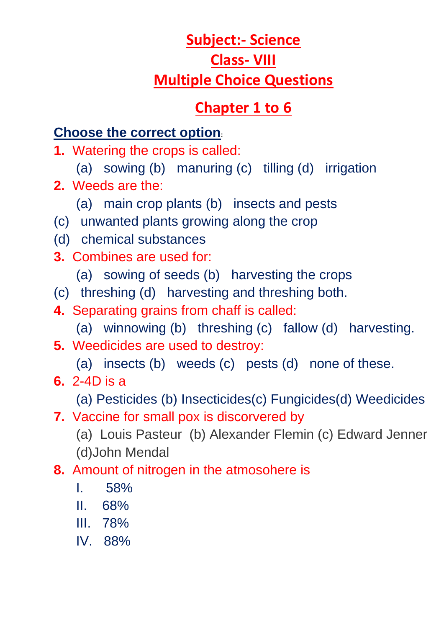# **Subject:- Science Class- VIII Multiple Choice Questions**

## **Chapter 1 to 6**

## **Choose the correct option:**

- **1.** Watering the crops is called:
	- (a) sowing (b) manuring (c) tilling (d) irrigation
- **2.** Weeds are the:
	- (a) main crop plants (b) insects and pests
- (c) unwanted plants growing along the crop
- (d) chemical substances
- **3.** Combines are used for:
	- (a) sowing of seeds (b) harvesting the crops
- (c) threshing (d) harvesting and threshing both.
- **4.** Separating grains from chaff is called:
	- (a) winnowing (b) threshing (c) fallow (d) harvesting.
- **5.** Weedicides are used to destroy:
	- (a) insects (b) weeds (c) pests (d) none of these.
- **6.** 2-4D is a

(a) Pesticides (b) Insecticides(c) Fungicides(d) Weedicides

**7.** Vaccine for small pox is discorvered by

 (a) Louis Pasteur (b) Alexander Flemin (c) Edward Jenner (d)John Mendal

- **8.** Amount of nitrogen in the atmosohere is
	- I. 58%
	- II. 68%
	- III. 78%
	- IV. 88%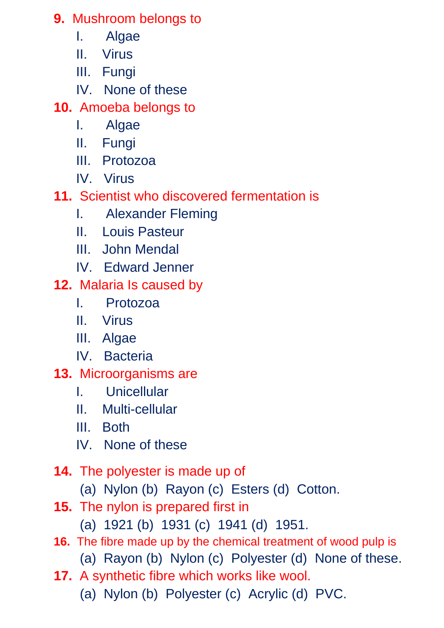**9.** Mushroom belongs to

- I. Algae
- II. Virus
- III. Fungi
- IV. None of these

**10.** Amoeba belongs to

- I. Algae
- II. Fungi
- III. Protozoa
- IV. Virus
- **11.** Scientist who discovered fermentation is
	- I. Alexander Fleming
	- II. Louis Pasteur
	- III. John Mendal
	- IV. Edward Jenner
- **12.** Malaria Is caused by
	- I. Protozoa
	- II. Virus
	- III. Algae
	- IV. Bacteria
- **13.** Microorganisms are
	- I. Unicellular
	- II. Multi-cellular
	- III. Both
	- IV. None of these
- **14.** The polyester is made up of
	- (a) Nylon (b) Rayon (c) Esters (d) Cotton.
- **15.** The nylon is prepared first in
	- (a) 1921 (b) 1931 (c) 1941 (d) 1951.
- **16.** The fibre made up by the chemical treatment of wood pulp is (a) Rayon (b) Nylon (c) Polyester (d) None of these.
- **17.** A synthetic fibre which works like wool.

(a) Nylon (b) Polyester (c) Acrylic (d) PVC.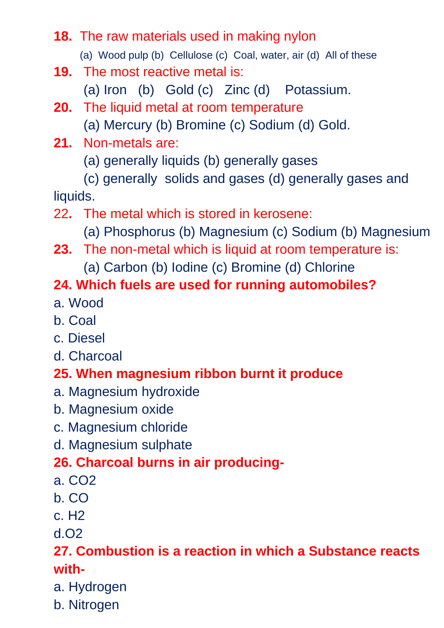### **18.** The raw materials used in making nylon

(a) Wood pulp (b) Cellulose (c) Coal, water, air (d) All of these

- **19.** The most reactive metal is:
	- (a) Iron (b) Gold (c) Zinc (d) Potassium.
- **20.** The liquid metal at room temperature
	- (a) Mercury (b) Bromine (c) Sodium (d) Gold.
- **21.** Non-metals are:
	- (a) generally liquids (b) generally gases
- (c) generally solids and gases (d) generally gases and liquids.
- 22**.** The metal which is stored in kerosene:
	- (a) Phosphorus (b) Magnesium (c) Sodium (b) Magnesium
- **23.** The non-metal which is liquid at room temperature is:
	- (a) Carbon (b) Iodine (c) Bromine (d) Chlorine

## **24. Which fuels are used for running automobiles?**

- a. Wood
- b. Coal
- c. Diesel
- d. Charcoal

#### **25. When magnesium ribbon burnt it produce**

- a. Magnesium hydroxide
- b. Magnesium oxide
- c. Magnesium chloride
- d. Magnesium sulphate

#### **26. Charcoal burns in air producing-**

- a. CO2
- b. CO
- c. H2
- d.O2

#### **27. Combustion is a reaction in which a Substance reacts with-**

- a. Hydrogen
- b. Nitrogen